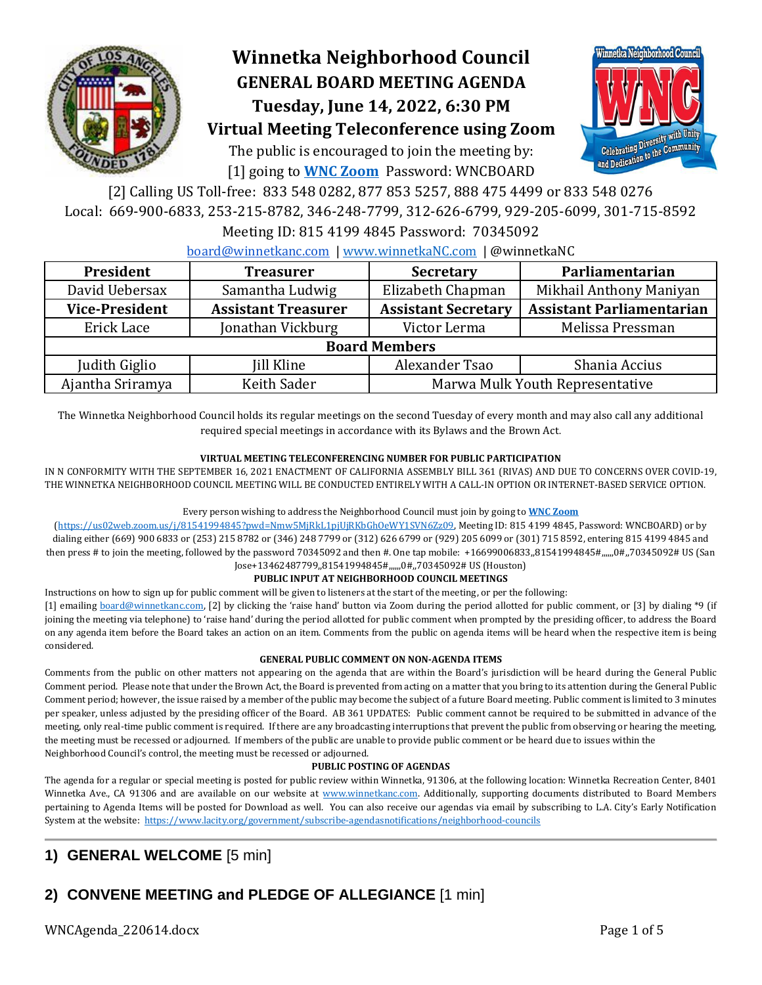

# **Winnetka Neighborhood Council GENERAL BOARD MEETING AGENDA Tuesday, June 14, 2022, 6:30 PM Virtual Meeting Teleconference using Zoom**



The public is encouraged to join the meeting by: [1] going to **[WNC Zoom](https://us02web.zoom.us/j/81541994845?pwd=Nmw5MjRkL1pjUjRKbGhOeWY1SVN6Zz09)** Password: WNCBOARD

[2] Calling US Toll-free: 833 548 0282, 877 853 5257, 888 475 4499 or 833 548 0276 Local: 669-900-6833, 253-215-8782, 346-248-7799, 312-626-6799, 929-205-6099, 301-715-8592

### Meeting ID: 815 4199 4845 Password: 70345092

[board@winnetkanc.com](mailto:board@winnetkanc.com) | [www.winnetkaNC.com](http://www.winnetkanc.com/) | @winnetkaNC

| President             | <b>Treasurer</b>                               | <b>Secretary</b>           | Parliamentarian                  |  |  |  |  |  |  |
|-----------------------|------------------------------------------------|----------------------------|----------------------------------|--|--|--|--|--|--|
| David Uebersax        | Samantha Ludwig                                | Elizabeth Chapman          | Mikhail Anthony Maniyan          |  |  |  |  |  |  |
| <b>Vice-President</b> | <b>Assistant Treasurer</b>                     | <b>Assistant Secretary</b> | <b>Assistant Parliamentarian</b> |  |  |  |  |  |  |
| Erick Lace            | Jonathan Vickburg                              | Victor Lerma               | Melissa Pressman                 |  |  |  |  |  |  |
| <b>Board Members</b>  |                                                |                            |                                  |  |  |  |  |  |  |
| Judith Giglio         | <b>Iill Kline</b>                              | Alexander Tsao             | Shania Accius                    |  |  |  |  |  |  |
| Ajantha Sriramya      | Keith Sader<br>Marwa Mulk Youth Representative |                            |                                  |  |  |  |  |  |  |

The Winnetka Neighborhood Council holds its regular meetings on the second Tuesday of every month and may also call any additional required special meetings in accordance with its Bylaws and the Brown Act.

### **VIRTUAL MEETING TELECONFERENCING NUMBER FOR PUBLIC PARTICIPATION**

IN N CONFORMITY WITH THE SEPTEMBER 16, 2021 ENACTMENT OF CALIFORNIA ASSEMBLY BILL 361 (RIVAS) AND DUE TO CONCERNS OVER COVID-19, THE WINNETKA NEIGHBORHOOD COUNCIL MEETING WILL BE CONDUCTED ENTIRELY WITH A CALL-IN OPTION OR INTERNET-BASED SERVICE OPTION.

#### Every person wishing to address the Neighborhood Council must join by going to **[WNC Zoom](https://us02web.zoom.us/j/81541994845?pwd=Nmw5MjRkL1pjUjRKbGhOeWY1SVN6Zz09)**

[\(https://us02web.zoom.us/j/81541994845?pwd=Nmw5MjRkL1pjUjRKbGhOeWY1SVN6Zz09,](https://us02web.zoom.us/j/81541994845?pwd=Nmw5MjRkL1pjUjRKbGhOeWY1SVN6Zz09) Meeting ID: 815 4199 4845, Password: WNCBOARD) or by dialing either (669) 900 6833 or (253) 215 8782 or (346) 248 7799 or (312) 626 6799 or (929) 205 6099 or (301) 715 8592, entering 815 4199 4845 and then press # to join the meeting, followed by the password 70345092 and then #. One tap mobile: +16699006833,81541994845#,,,,,,0#,,70345092# US (San Jose+13462487799,,81541994845#,,,,,,0#,,70345092# US (Houston)

#### **PUBLIC INPUT AT NEIGHBORHOOD COUNCIL MEETINGS**

Instructions on how to sign up for public comment will be given to listeners at the start of the meeting, or per the following:

[1] emailing [board@winnetkanc.com](mailto:board@winnetkanc.com), [2] by clicking the 'raise hand' button via Zoom during the period allotted for public comment, or [3] by dialing \*9 (if joining the meeting via telephone) to 'raise hand' during the period allotted for public comment when prompted by the presiding officer, to address the Board on any agenda item before the Board takes an action on an item. Comments from the public on agenda items will be heard when the respective item is being considered.

#### **GENERAL PUBLIC COMMENT ON NON-AGENDA ITEMS**

Comments from the public on other matters not appearing on the agenda that are within the Board's jurisdiction will be heard during the General Public Comment period. Please note that under the Brown Act, the Board is prevented from acting on a matter that you bring to its attention during the General Public Comment period; however, the issue raised by a member of the public may become the subject of a future Board meeting. Public comment is limited to 3 minutes per speaker, unless adjusted by the presiding officer of the Board. AB 361 UPDATES: Public comment cannot be required to be submitted in advance of the meeting, only real-time public comment is required. If there are any broadcasting interruptions that prevent the public from observing or hearing the meeting, the meeting must be recessed or adjourned. If members of the public are unable to provide public comment or be heard due to issues within the Neighborhood Council's control, the meeting must be recessed or adjourned.

#### **PUBLIC POSTING OF AGENDAS**

The agenda for a regular or special meeting is posted for public review within Winnetka, 91306, at the following location: Winnetka Recreation Center, 8401 Winnetka Ave., CA 91306 and are available on our website at [www.winnetkanc.com.](file://///UUEBERBASE/Users/uuebmeister/Documents/Community/Winnetka%20Neighborhood%20Council/WNC%20Board%20Agendas%20and%20Minutes/www.winnetkanc.com) Additionally, supporting documents distributed to Board Members pertaining to Agenda Items will be posted for Download as well. You can also receive our agendas via email by subscribing to L.A. City's Early Notification System at the website:<https://www.lacity.org/government/subscribe-agendasnotifications/neighborhood-councils>

## **1) GENERAL WELCOME** [5 min]

## **2) CONVENE MEETING and PLEDGE OF ALLEGIANCE** [1 min]

WNCAgenda\_220614.docx Page 1 of 5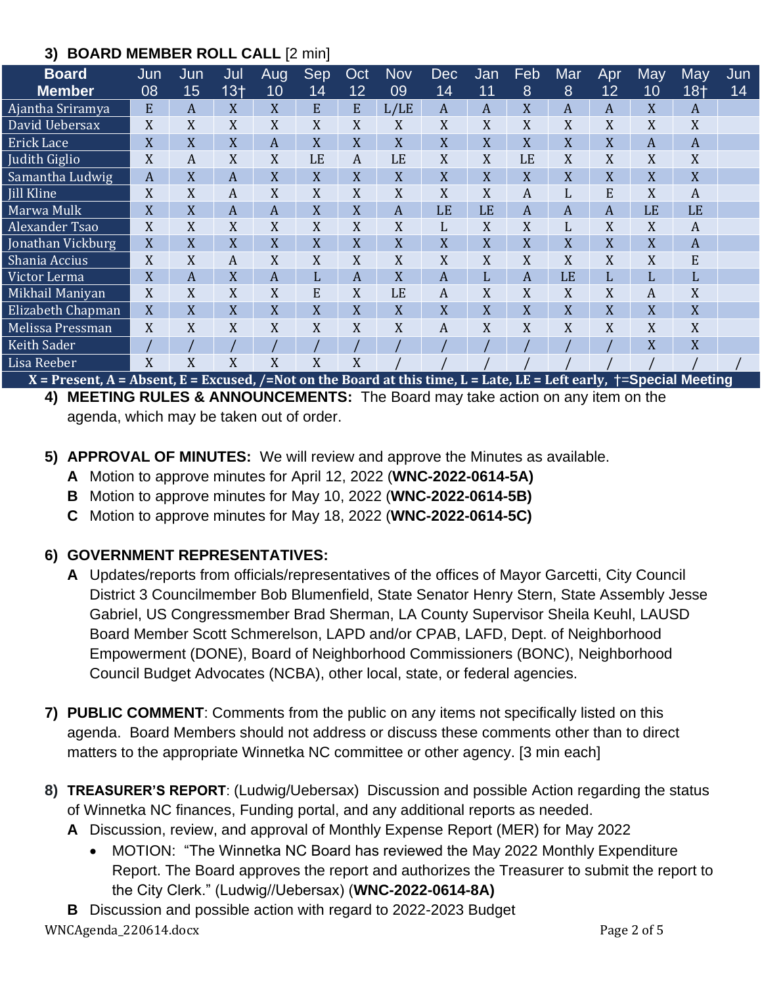### **3) BOARD MEMBER ROLL CALL** [2 min]

| <b>Board</b>                                                                                                                   | Jun | Jun | Jul<br>$13+$ | Aug<br>10 | Sep | Oct<br>12 | <b>Nov</b><br>09 | <b>Dec</b>      | Jan | Feb | Mar | Apr<br>12 | <b>May</b>     | May   | Jun |
|--------------------------------------------------------------------------------------------------------------------------------|-----|-----|--------------|-----------|-----|-----------|------------------|-----------------|-----|-----|-----|-----------|----------------|-------|-----|
| <b>Member</b>                                                                                                                  | 08  | 15  |              |           | 14  |           |                  | $\overline{1}4$ | 11  | 8   | 8   |           | 10             | $18+$ | 14  |
| Ajantha Sriramya                                                                                                               | E   | A   | X            | X         | E   | E         | L/LE             | A               | A   | X   | A   | A         | X              | A     |     |
| David Uebersax                                                                                                                 | X   | X   | X            | X         | X   | X         | X                | X               | X   | X   | X   | X         | X              | X     |     |
| <b>Erick Lace</b>                                                                                                              | X   | X   | X            | A         | X   | X         | X                | X               | X   | X   | X   | X         | $\overline{A}$ | A     |     |
| Judith Giglio                                                                                                                  | X   | A   | X            | X         | LE  | A         | LE               | X               | X   | LE  | X   | X         | X              | X     |     |
| Samantha Ludwig                                                                                                                | A   | X   | A            | X         | X   | X         | X                | X               | X   | X   | X   | X         | X              | X     |     |
| <b>Iill Kline</b>                                                                                                              | X   | X   | A            | X         | X   | X         | X                | X               | X   | A   | L   | E         | X              | A     |     |
| Marwa Mulk                                                                                                                     | X   | X   | A            | A         | X   | X         | A                | LE              | LE  | A   | A   | A         | LE             | LE    |     |
| Alexander Tsao                                                                                                                 | X   | X   | X            | X         | X   | X         | X                | L               | X   | X   | L   | X         | X              | A     |     |
| Jonathan Vickburg                                                                                                              | X   | X   | X            | X         | X   | X         | X                | X               | X   | X   | X   | X         | X              | A     |     |
| Shania Accius                                                                                                                  | X   | X   | A            | X         | X   | X         | X                | X               | X   | X   | X   | X         | X              | E     |     |
| Victor Lerma                                                                                                                   | X   | A   | X            | A         | L   | A         | X                | A               | L   | A   | LE  | L         | L              | L     |     |
| Mikhail Maniyan                                                                                                                | X   | X   | X            | X         | E   | X         | LE               | A               | X   | X   | X   | X         | A              | X     |     |
| Elizabeth Chapman                                                                                                              | X   | X   | X            | X         | X   | X         | X                | X               | X   | X   | X   | X         | X              | X     |     |
| Melissa Pressman                                                                                                               | X   | X   | X            | X         | X   | X         | X                | A               | X   | X   | X   | X         | X              | X     |     |
| <b>Keith Sader</b>                                                                                                             |     |     |              |           |     |           |                  |                 |     |     |     |           | X              | X     |     |
| Lisa Reeber                                                                                                                    | X   | X   | X            | X         | X   | X         |                  |                 |     |     |     |           |                |       |     |
| $X =$ Present, A = Absent, E = Excused, /=Not on the Board at this time, L = Late, LE = Left early, $\dagger$ =Special Meeting |     |     |              |           |     |           |                  |                 |     |     |     |           |                |       |     |

**4) MEETING RULES & ANNOUNCEMENTS:** The Board may take action on any item on the agenda, which may be taken out of order.

- **5) APPROVAL OF MINUTES:** We will review and approve the Minutes as available.
	- **A** Motion to approve minutes for April 12, 2022 (**WNC-2022-0614-5A)**
	- **B** Motion to approve minutes for May 10, 2022 (**WNC-2022-0614-5B)**
	- **C** Motion to approve minutes for May 18, 2022 (**WNC-2022-0614-5C)**

### **6) GOVERNMENT REPRESENTATIVES:**

- **A** Updates/reports from officials/representatives of the offices of Mayor Garcetti, City Council District 3 Councilmember Bob Blumenfield, State Senator Henry Stern, State Assembly Jesse Gabriel, US Congressmember Brad Sherman, LA County Supervisor Sheila Keuhl, LAUSD Board Member Scott Schmerelson, LAPD and/or CPAB, LAFD, Dept. of Neighborhood Empowerment (DONE), Board of Neighborhood Commissioners (BONC), Neighborhood Council Budget Advocates (NCBA), other local, state, or federal agencies.
- **7) PUBLIC COMMENT**: Comments from the public on any items not specifically listed on this agenda. Board Members should not address or discuss these comments other than to direct matters to the appropriate Winnetka NC committee or other agency. [3 min each]
- **8) TREASURER'S REPORT**: (Ludwig/Uebersax) Discussion and possible Action regarding the status of Winnetka NC finances, Funding portal, and any additional reports as needed.
	- **A** Discussion, review, and approval of Monthly Expense Report (MER) for May 2022
		- MOTION: "The Winnetka NC Board has reviewed the May 2022 Monthly Expenditure Report. The Board approves the report and authorizes the Treasurer to submit the report to the City Clerk." (Ludwig//Uebersax) (**WNC-2022-0614-8A)**
- WNCAgenda\_220614.docx Page 2 of 5 **B** Discussion and possible action with regard to 2022-2023 Budget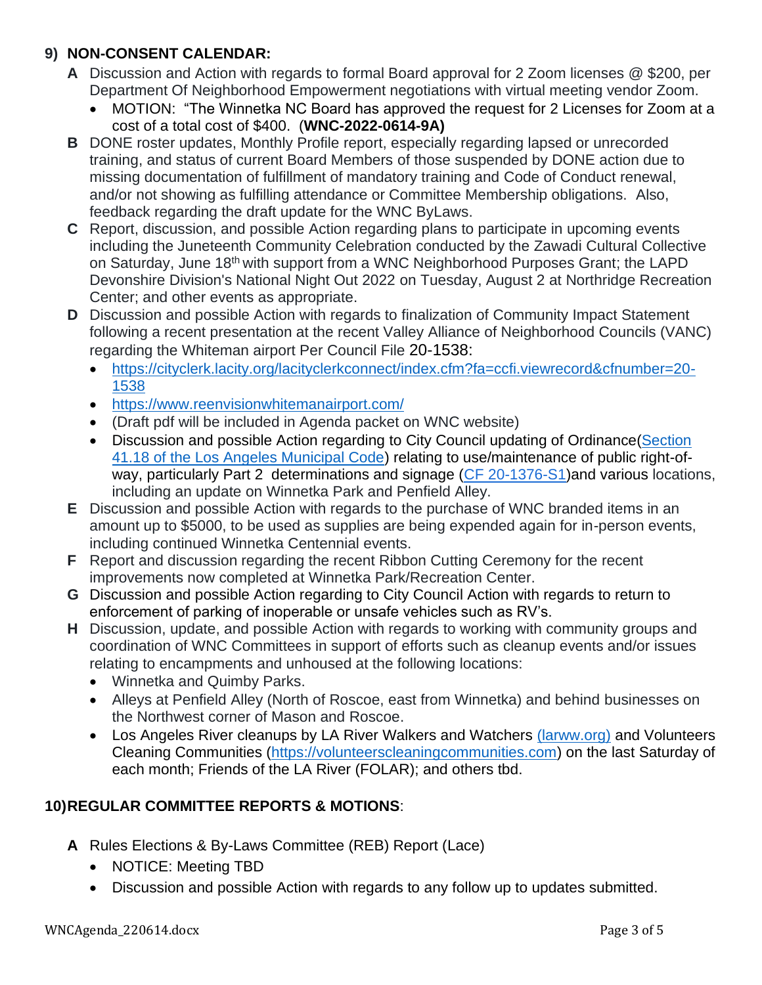### **9) NON-CONSENT CALENDAR:**

- **A** Discussion and Action with regards to formal Board approval for 2 Zoom licenses @ \$200, per Department Of Neighborhood Empowerment negotiations with virtual meeting vendor Zoom.
	- MOTION: "The Winnetka NC Board has approved the request for 2 Licenses for Zoom at a cost of a total cost of \$400. (**WNC-2022-0614-9A)**
- **B** DONE roster updates, Monthly Profile report, especially regarding lapsed or unrecorded training, and status of current Board Members of those suspended by DONE action due to missing documentation of fulfillment of mandatory training and Code of Conduct renewal, and/or not showing as fulfilling attendance or Committee Membership obligations. Also, feedback regarding the draft update for the WNC ByLaws.
- **C** Report, discussion, and possible Action regarding plans to participate in upcoming events including the Juneteenth Community Celebration conducted by the Zawadi Cultural Collective on Saturday, June 18<sup>th</sup> with support from a WNC Neighborhood Purposes Grant; the LAPD Devonshire Division's National Night Out 2022 on Tuesday, August 2 at Northridge Recreation Center; and other events as appropriate.
- **D** Discussion and possible Action with regards to finalization of Community Impact Statement following a recent presentation at the recent Valley Alliance of Neighborhood Councils (VANC) regarding the Whiteman airport Per Council File 20-1538:
	- [https://cityclerk.lacity.org/lacityclerkconnect/index.cfm?fa=ccfi.viewrecord&cfnumber=20-](https://cityclerk.lacity.org/lacityclerkconnect/index.cfm?fa=ccfi.viewrecord&cfnumber=20-1538) [1538](https://cityclerk.lacity.org/lacityclerkconnect/index.cfm?fa=ccfi.viewrecord&cfnumber=20-1538)
	- <https://www.reenvisionwhitemanairport.com/>
	- (Draft pdf will be included in Agenda packet on WNC website)
	- Discussion and possible Action regarding to City Council updating of Ordinance (Section [41.18 of the Los Angeles Municipal Code\)](https://clkrep.lacity.org/onlinedocs/2020/20-1376-S1_ord_187127_09-03-21.pdf) relating to use/maintenance of public right-of-way, particularly Part 2 determinations and signage [\(CF 20-1376-S1\)](https://cityclerk.lacity.org/lacityclerkconnect/index.cfm?fa=ccfi.viewrecord&cfnumber=20-1376-S1) and various locations, including an update on Winnetka Park and Penfield Alley.
- **E** Discussion and possible Action with regards to the purchase of WNC branded items in an amount up to \$5000, to be used as supplies are being expended again for in-person events, including continued Winnetka Centennial events.
- **F** Report and discussion regarding the recent Ribbon Cutting Ceremony for the recent improvements now completed at Winnetka Park/Recreation Center.
- **G** Discussion and possible Action regarding to City Council Action with regards to return to enforcement of parking of inoperable or unsafe vehicles such as RV's.
- **H** Discussion, update, and possible Action with regards to working with community groups and coordination of WNC Committees in support of efforts such as cleanup events and/or issues relating to encampments and unhoused at the following locations:
	- Winnetka and Quimby Parks.
	- Alleys at Penfield Alley (North of Roscoe, east from Winnetka) and behind businesses on the Northwest corner of Mason and Roscoe.
	- Los Angeles River cleanups by LA River Walkers and Watchers [\(larww.org\)](http://larww.org/) and Volunteers Cleaning Communities [\(https://volunteerscleaningcommunities.com\)](https://volunteerscleaningcommunities.com/) on the last Saturday of each month; Friends of the LA River (FOLAR); and others tbd.

### **10)REGULAR COMMITTEE REPORTS & MOTIONS**:

- **A** Rules Elections & By-Laws Committee (REB) Report (Lace)
	- NOTICE: Meeting TBD
	- Discussion and possible Action with regards to any follow up to updates submitted.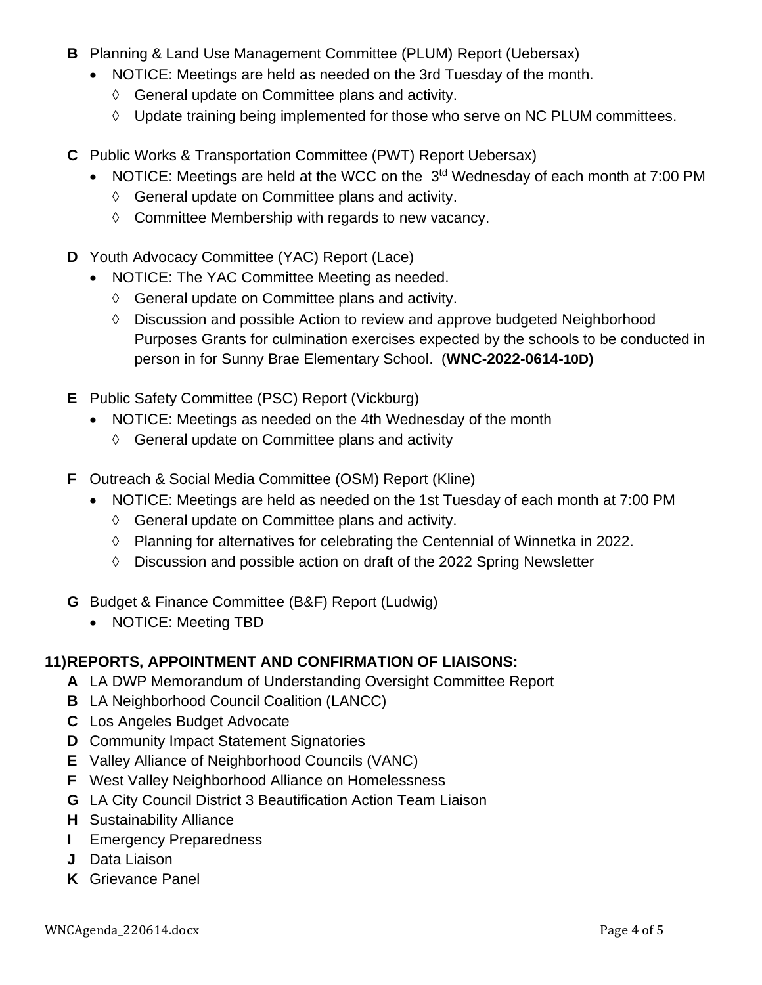- **B** Planning & Land Use Management Committee (PLUM) Report (Uebersax)
	- NOTICE: Meetings are held as needed on the 3rd Tuesday of the month.
		- $\Diamond$  General update on Committee plans and activity.
		- Update training being implemented for those who serve on NC PLUM committees.
- **C** Public Works & Transportation Committee (PWT) Report Uebersax)
	- NOTICE: Meetings are held at the WCC on the  $3<sup>td</sup>$  Wednesday of each month at 7:00 PM
		- $\Diamond$  General update on Committee plans and activity.
		- $\Diamond$  Committee Membership with regards to new vacancy.
- **D** Youth Advocacy Committee (YAC) Report (Lace)
	- NOTICE: The YAC Committee Meeting as needed.
		- $\Diamond$  General update on Committee plans and activity.
		- Discussion and possible Action to review and approve budgeted Neighborhood Purposes Grants for culmination exercises expected by the schools to be conducted in person in for Sunny Brae Elementary School. (**WNC-2022-0614-10D)**
- **E** Public Safety Committee (PSC) Report (Vickburg)
	- NOTICE: Meetings as needed on the 4th Wednesday of the month
		- $\Diamond$  General update on Committee plans and activity
- **F** Outreach & Social Media Committee (OSM) Report (Kline)
	- NOTICE: Meetings are held as needed on the 1st Tuesday of each month at 7:00 PM
		- $\Diamond$  General update on Committee plans and activity.
		- Planning for alternatives for celebrating the Centennial of Winnetka in 2022.
		- $\lozenge$  Discussion and possible action on draft of the 2022 Spring Newsletter
- **G** Budget & Finance Committee (B&F) Report (Ludwig)
	- NOTICE: Meeting TBD

## **11)REPORTS, APPOINTMENT AND CONFIRMATION OF LIAISONS:**

- **A** LA DWP Memorandum of Understanding Oversight Committee Report
- **B** LA Neighborhood Council Coalition (LANCC)
- **C** Los Angeles Budget Advocate
- **D** Community Impact Statement Signatories
- **E** Valley Alliance of Neighborhood Councils (VANC)
- **F** West Valley Neighborhood Alliance on Homelessness
- **G** LA City Council District 3 Beautification Action Team Liaison
- **H** Sustainability Alliance
- **I** Emergency Preparedness
- **J** Data Liaison
- **K** Grievance Panel